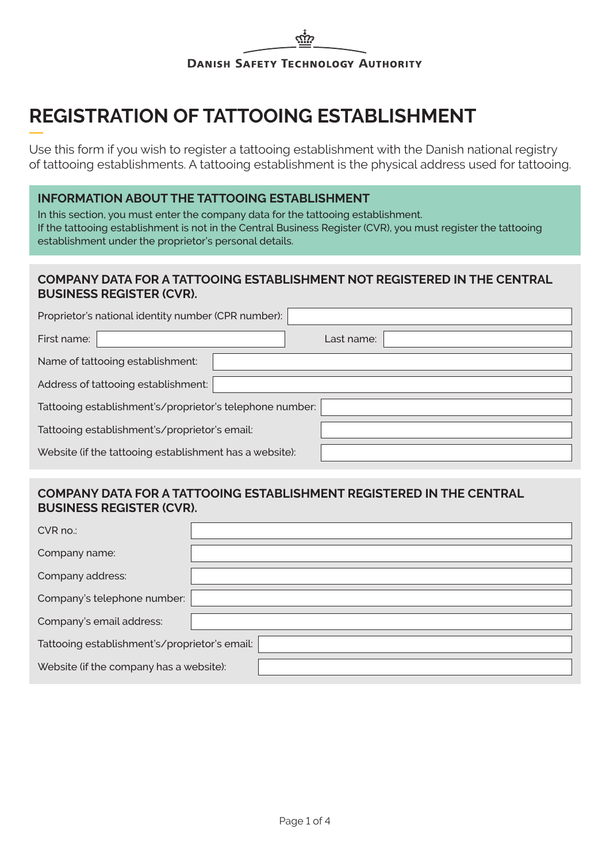# **REGISTRATION OF TATTOOING ESTABLISHMENT**

Use this form if you wish to register a tattooing establishment with the Danish national registry of tattooing establishments. A tattooing establishment is the physical address used for tattooing.

# **INFORMATION ABOUT THE TATTOOING ESTABLISHMENT**

In this section, you must enter the company data for the tattooing establishment. If the tattooing establishment is not in the Central Business Register (CVR), you must register the tattooing establishment under the proprietor's personal details.

# **COMPANY DATA FOR A TATTOOING ESTABLISHMENT NOT REGISTERED IN THE CENTRAL BUSINESS REGISTER (CVR).**

| Proprietor's national identity number (CPR number):      |            |  |  |  |
|----------------------------------------------------------|------------|--|--|--|
| First name:                                              | Last name: |  |  |  |
| Name of tattooing establishment:                         |            |  |  |  |
| Address of tattooing establishment:                      |            |  |  |  |
| Tattooing establishment's/proprietor's telephone number: |            |  |  |  |
| Tattooing establishment's/proprietor's email:            |            |  |  |  |
| Website (if the tattooing establishment has a website):  |            |  |  |  |

#### **COMPANY DATA FOR A TATTOOING ESTABLISHMENT REGISTERED IN THE CENTRAL BUSINESS REGISTER (CVR).**

| CVR no.:                                      |  |  |  |  |
|-----------------------------------------------|--|--|--|--|
| Company name:                                 |  |  |  |  |
| Company address:                              |  |  |  |  |
| Company's telephone number:                   |  |  |  |  |
| Company's email address:                      |  |  |  |  |
| Tattooing establishment's/proprietor's email: |  |  |  |  |
| Website (if the company has a website):       |  |  |  |  |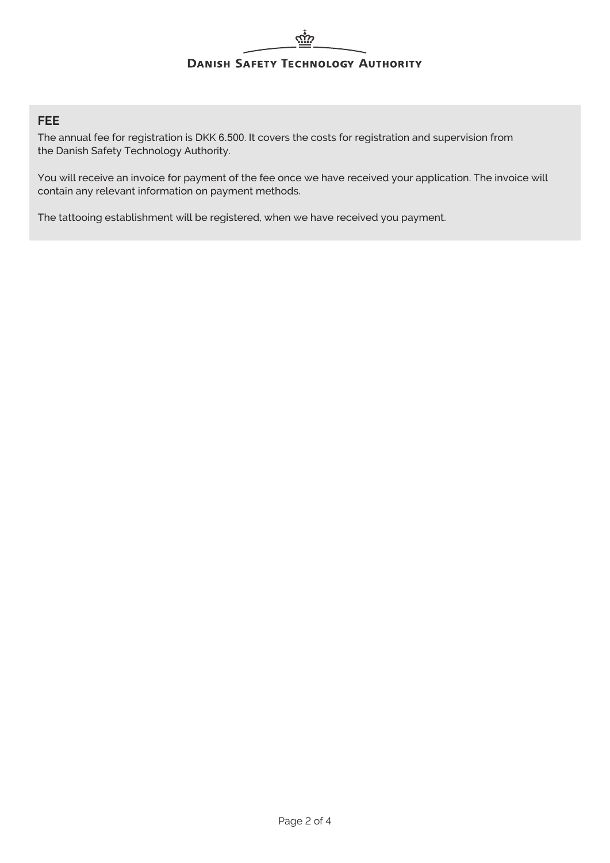#### **FEE**

The annual fee for registration is DKK 6.500. It covers the costs for registration and supervision from the Danish Safety Technology Authority.

You will receive an invoice for payment of the fee once we have received your application. The invoice will contain any relevant information on payment methods.

The tattooing establishment will be registered, when we have received you payment.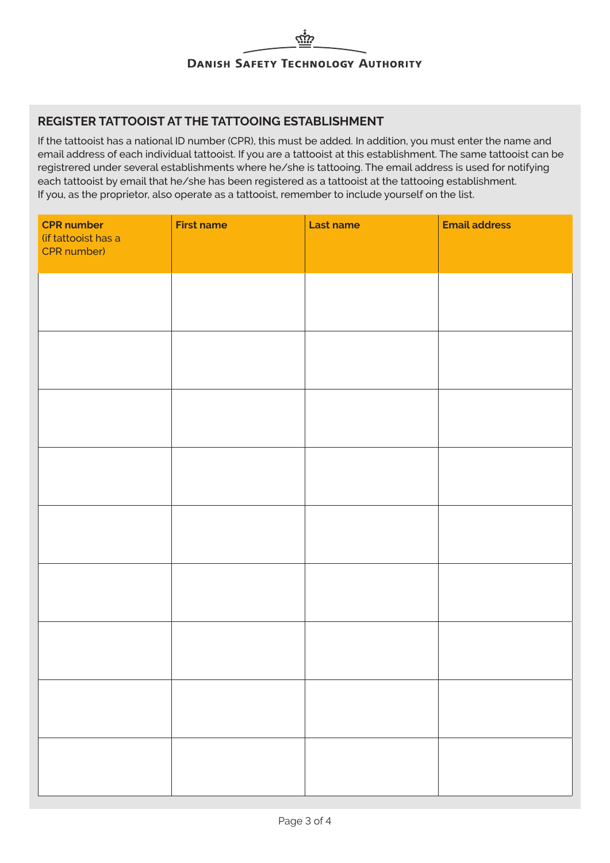# **REGISTER TATTOOIST AT THE TATTOOING ESTABLISHMENT**

If the tattooist has a national ID number (CPR), this must be added. In addition, you must enter the name and email address of each individual tattooist. If you are a tattooist at this establishment. The same tattooist can be registrered under several establishments where he/she is tattooing. The email address is used for notifying each tattooist by email that he/she has been registered as a tattooist at the tattooing establishment. If you, as the proprietor, also operate as a tattooist, remember to include yourself on the list.

| <b>CPR number</b><br>(if tattooist has a<br>CPR number) | <b>First name</b> | Last name | <b>Email address</b> |
|---------------------------------------------------------|-------------------|-----------|----------------------|
|                                                         |                   |           |                      |
|                                                         |                   |           |                      |
|                                                         |                   |           |                      |
|                                                         |                   |           |                      |
|                                                         |                   |           |                      |
|                                                         |                   |           |                      |
|                                                         |                   |           |                      |
|                                                         |                   |           |                      |
|                                                         |                   |           |                      |
|                                                         |                   |           |                      |